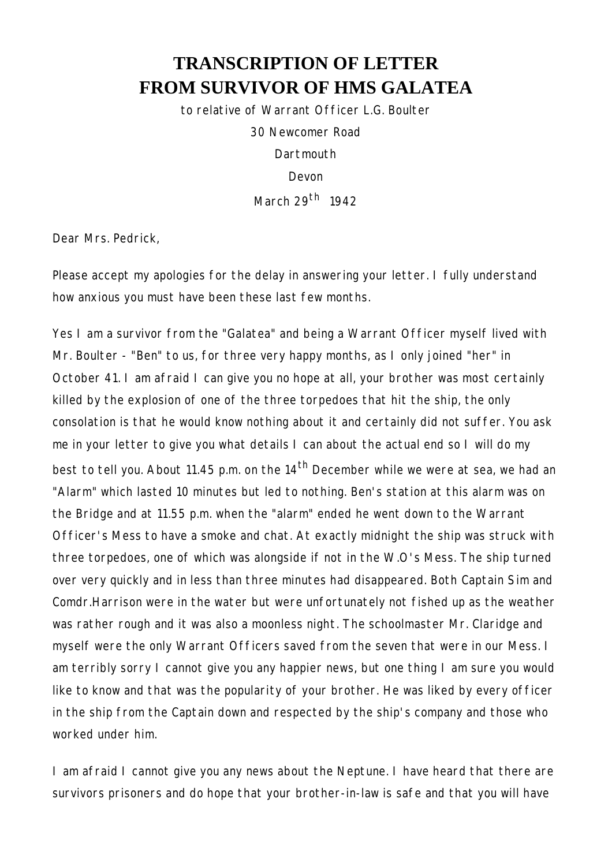## **TRANSCRIPTION OF LETTER FROM SURVIVOR OF HMS GALATEA**

*to relative of Warrant Officer L.G. Boulter*

30 Newcomer Road **Dartmouth** 

Devon

March 29th 1942

Dear Mrs. Pedrick,

Please accept my apologies for the delay in answering your letter. I fully understand how anxious you must have been these last few months.

Yes I am a survivor from the "Galatea" and being a Warrant Officer myself lived with Mr. Boulter - "Ben" to us, for three very happy months, as I only joined "her" in October 41. I am afraid I can give you no hope at all, your brother was most certainly killed by the explosion of one of the three torpedoes that hit the ship, the only consolation is that he would know nothing about it and certainly did not suffer. You ask me in your letter to give you what details I can about the actual end so I will do my best to tell you. About 11.45 p.m. on the 14<sup>th</sup> December while we were at sea, we had an "Alarm" which lasted 10 minutes but led to nothing. Ben's station at this alarm was on the Bridge and at 11.55 p.m. when the "alarm" ended he went down to the Warrant Officer's Mess to have a smoke and chat. At exactly midnight the ship was struck with three torpedoes, one of which was alongside if not in the W.O's Mess. The ship turned over very quickly and in less than three minutes had disappeared. Both Captain Sim and Comdr.Harrison were in the water but were unfortunately not fished up as the weather was rather rough and it was also a moonless night. The schoolmaster Mr. Claridge and myself were the only Warrant Officers saved from the seven that were in our Mess. I am terribly sorry I cannot give you any happier news, but one thing I am sure you would like to know and that was the popularity of your brother. He was liked by every officer in the ship from the Captain down and respected by the ship's company and those who worked under him.

I am afraid I cannot give you any news about the Neptune. I have heard that there are survivors prisoners and do hope that your brother-in-law is safe and that you will have